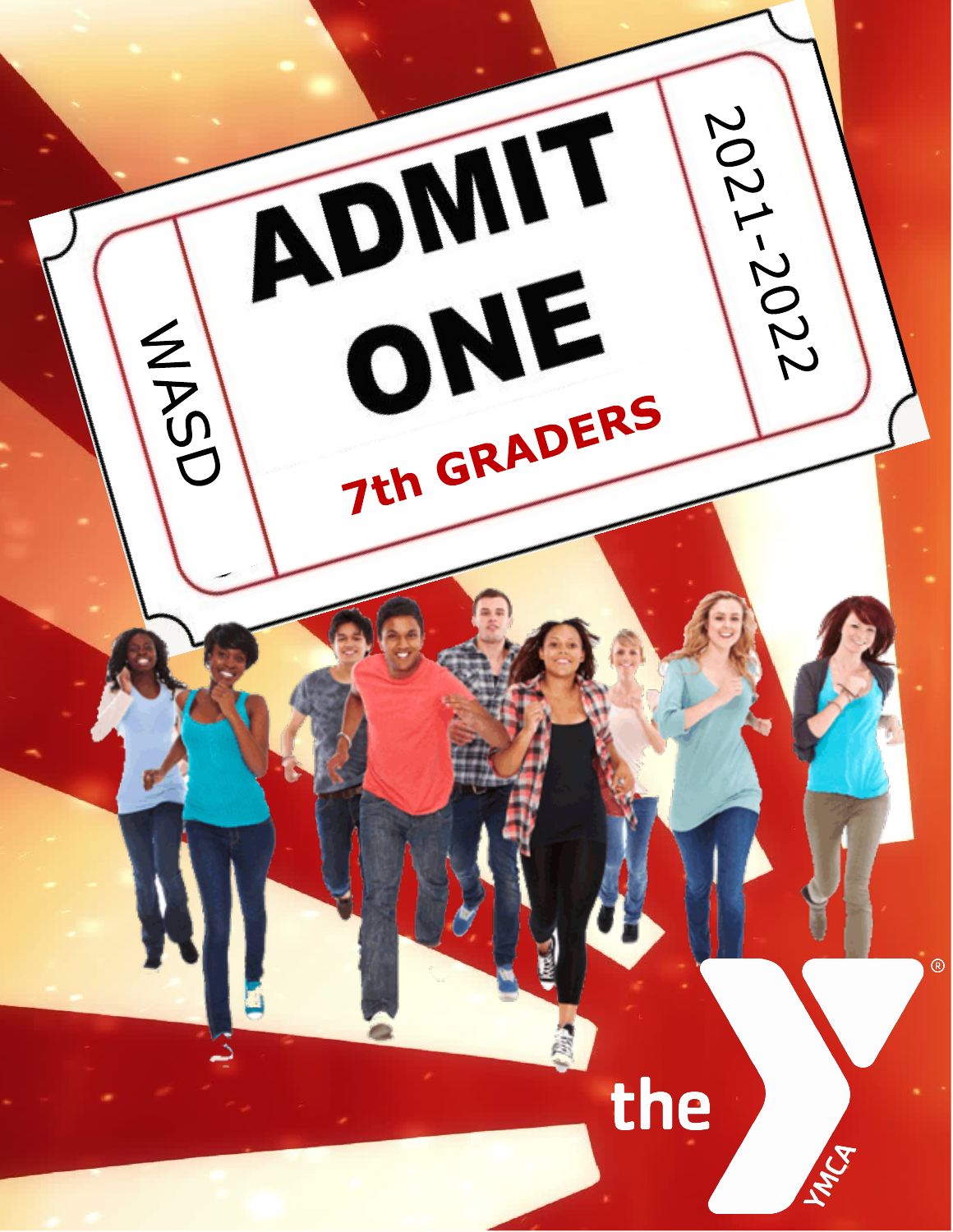